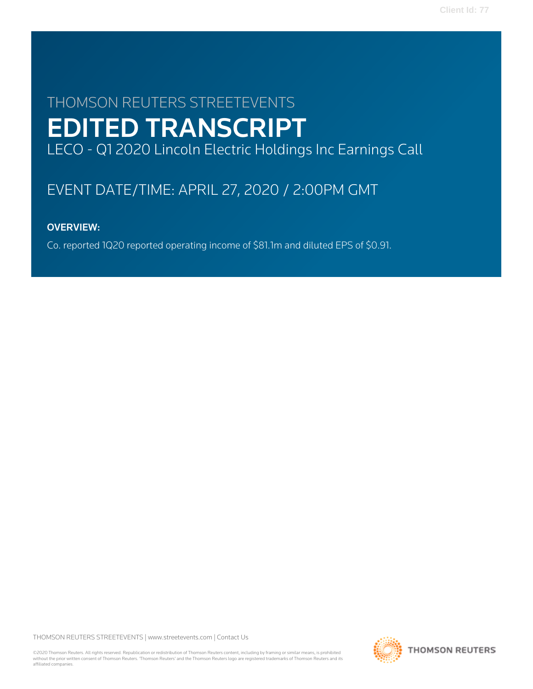# THOMSON REUTERS STREETEVENTS EDITED TRANSCRIPT LECO - Q1 2020 Lincoln Electric Holdings Inc Earnings Call

# EVENT DATE/TIME: APRIL 27, 2020 / 2:00PM GMT

## OVERVIEW:

Co. reported 1Q20 reported operating income of \$81.1m and diluted EPS of \$0.91.

THOMSON REUTERS STREETEVENTS | [www.streetevents.com](http://www.streetevents.com) | [Contact Us](http://www010.streetevents.com/contact.asp)

©2020 Thomson Reuters. All rights reserved. Republication or redistribution of Thomson Reuters content, including by framing or similar means, is prohibited without the prior written consent of Thomson Reuters. 'Thomson Reuters' and the Thomson Reuters logo are registered trademarks of Thomson Reuters and its affiliated companies.

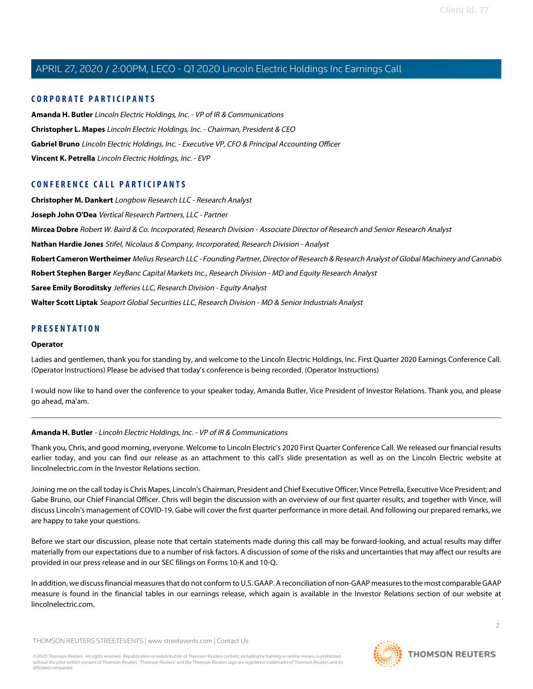#### **CORPORATE PARTICIPANTS**

**[Amanda H. Butler](#page-1-0)** Lincoln Electric Holdings, Inc. - VP of IR & Communications **[Christopher L. Mapes](#page-2-0)** Lincoln Electric Holdings, Inc. - Chairman, President & CEO **[Gabriel Bruno](#page-4-0)** Lincoln Electric Holdings, Inc. - Executive VP, CFO & Principal Accounting Officer **[Vincent K. Petrella](#page-3-0)** Lincoln Electric Holdings, Inc. - EVP

### **CONFERENCE CALL PARTICIPANTS**

**[Christopher M. Dankert](#page-11-0)** Longbow Research LLC - Research Analyst **[Joseph John O'Dea](#page-7-0)** Vertical Research Partners, LLC - Partner **[Mircea Dobre](#page-9-0)** Robert W. Baird & Co. Incorporated, Research Division - Associate Director of Research and Senior Research Analyst **[Nathan Hardie Jones](#page-8-0)** Stifel, Nicolaus & Company, Incorporated, Research Division - Analyst **[Robert Cameron Wertheimer](#page-5-0)** Melius Research LLC - Founding Partner, Director of Research & Research Analyst of Global Machinery and Cannabis **[Robert Stephen Barger](#page-13-0)** KeyBanc Capital Markets Inc., Research Division - MD and Equity Research Analyst **[Saree Emily Boroditsky](#page-6-0)** Jefferies LLC, Research Division - Equity Analyst **[Walter Scott Liptak](#page-12-0)** Seaport Global Securities LLC, Research Division - MD & Senior Industrials Analyst

#### **PRESENTATION**

#### **Operator**

Ladies and gentlemen, thank you for standing by, and welcome to the Lincoln Electric Holdings, Inc. First Quarter 2020 Earnings Conference Call. (Operator Instructions) Please be advised that today's conference is being recorded. (Operator Instructions)

<span id="page-1-0"></span>I would now like to hand over the conference to your speaker today, Amanda Butler, Vice President of Investor Relations. Thank you, and please go ahead, ma'am.

#### **Amanda H. Butler** - Lincoln Electric Holdings, Inc. - VP of IR & Communications

Thank you, Chris, and good morning, everyone. Welcome to Lincoln Electric's 2020 First Quarter Conference Call. We released our financial results earlier today, and you can find our release as an attachment to this call's slide presentation as well as on the Lincoln Electric website at lincolnelectric.com in the Investor Relations section.

Joining me on the call today is Chris Mapes, Lincoln's Chairman, President and Chief Executive Officer; Vince Petrella, Executive Vice President; and Gabe Bruno, our Chief Financial Officer. Chris will begin the discussion with an overview of our first quarter results, and together with Vince, will discuss Lincoln's management of COVID-19. Gabe will cover the first quarter performance in more detail. And following our prepared remarks, we are happy to take your questions.

Before we start our discussion, please note that certain statements made during this call may be forward-looking, and actual results may differ materially from our expectations due to a number of risk factors. A discussion of some of the risks and uncertainties that may affect our results are provided in our press release and in our SEC filings on Forms 10-K and 10-Q.

In addition, we discuss financial measures that do not conform to U.S. GAAP. A reconciliation of non-GAAP measures to the most comparable GAAP measure is found in the financial tables in our earnings release, which again is available in the Investor Relations section of our website at lincolnelectric.com.

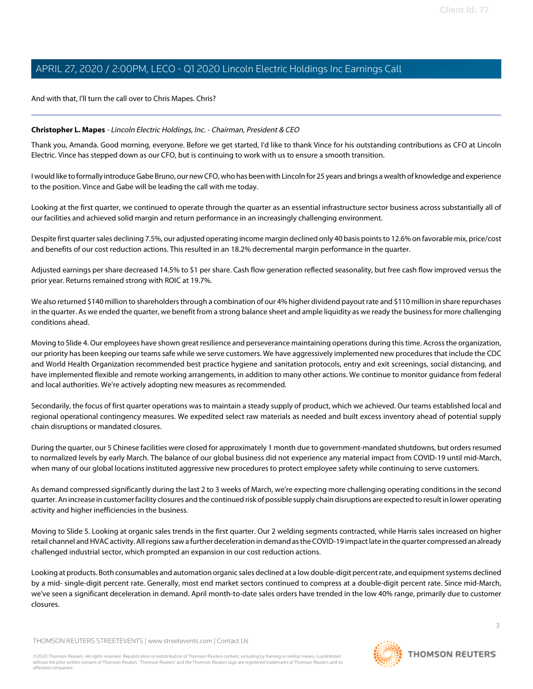And with that, I'll turn the call over to Chris Mapes. Chris?

#### <span id="page-2-0"></span>**Christopher L. Mapes** - Lincoln Electric Holdings, Inc. - Chairman, President & CEO

Thank you, Amanda. Good morning, everyone. Before we get started, I'd like to thank Vince for his outstanding contributions as CFO at Lincoln Electric. Vince has stepped down as our CFO, but is continuing to work with us to ensure a smooth transition.

I would like to formally introduce Gabe Bruno, our new CFO, who has been with Lincoln for 25 years and brings a wealth of knowledge and experience to the position. Vince and Gabe will be leading the call with me today.

Looking at the first quarter, we continued to operate through the quarter as an essential infrastructure sector business across substantially all of our facilities and achieved solid margin and return performance in an increasingly challenging environment.

Despite first quarter sales declining 7.5%, our adjusted operating income margin declined only 40 basis points to 12.6% on favorable mix, price/cost and benefits of our cost reduction actions. This resulted in an 18.2% decremental margin performance in the quarter.

Adjusted earnings per share decreased 14.5% to \$1 per share. Cash flow generation reflected seasonality, but free cash flow improved versus the prior year. Returns remained strong with ROIC at 19.7%.

We also returned \$140 million to shareholders through a combination of our 4% higher dividend payout rate and \$110 million in share repurchases in the quarter. As we ended the quarter, we benefit from a strong balance sheet and ample liquidity as we ready the business for more challenging conditions ahead.

Moving to Slide 4. Our employees have shown great resilience and perseverance maintaining operations during this time. Across the organization, our priority has been keeping our teams safe while we serve customers. We have aggressively implemented new procedures that include the CDC and World Health Organization recommended best practice hygiene and sanitation protocols, entry and exit screenings, social distancing, and have implemented flexible and remote working arrangements, in addition to many other actions. We continue to monitor guidance from federal and local authorities. We're actively adopting new measures as recommended.

Secondarily, the focus of first quarter operations was to maintain a steady supply of product, which we achieved. Our teams established local and regional operational contingency measures. We expedited select raw materials as needed and built excess inventory ahead of potential supply chain disruptions or mandated closures.

During the quarter, our 5 Chinese facilities were closed for approximately 1 month due to government-mandated shutdowns, but orders resumed to normalized levels by early March. The balance of our global business did not experience any material impact from COVID-19 until mid-March, when many of our global locations instituted aggressive new procedures to protect employee safety while continuing to serve customers.

As demand compressed significantly during the last 2 to 3 weeks of March, we're expecting more challenging operating conditions in the second quarter. An increase in customer facility closures and the continued risk of possible supply chain disruptions are expected to result in lower operating activity and higher inefficiencies in the business.

Moving to Slide 5. Looking at organic sales trends in the first quarter. Our 2 welding segments contracted, while Harris sales increased on higher retail channel and HVAC activity. All regions saw a further deceleration in demand as the COVID-19 impact late in the quarter compressed an already challenged industrial sector, which prompted an expansion in our cost reduction actions.

Looking at products. Both consumables and automation organic sales declined at a low double-digit percent rate, and equipment systems declined by a mid- single-digit percent rate. Generally, most end market sectors continued to compress at a double-digit percent rate. Since mid-March, we've seen a significant deceleration in demand. April month-to-date sales orders have trended in the low 40% range, primarily due to customer closures.

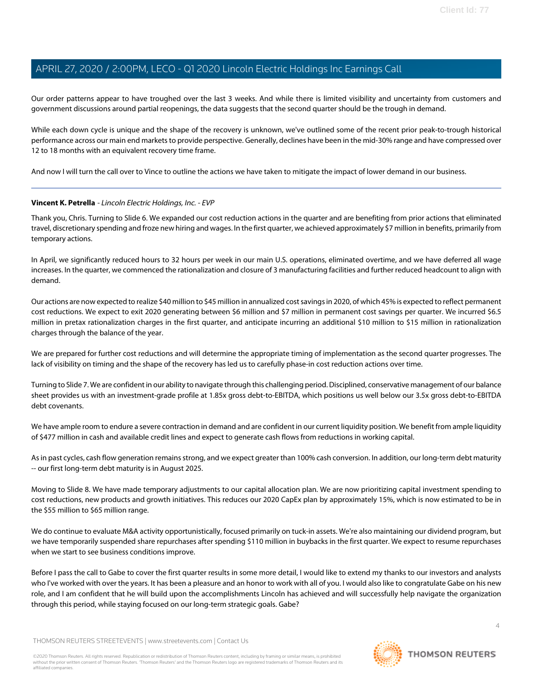Our order patterns appear to have troughed over the last 3 weeks. And while there is limited visibility and uncertainty from customers and government discussions around partial reopenings, the data suggests that the second quarter should be the trough in demand.

While each down cycle is unique and the shape of the recovery is unknown, we've outlined some of the recent prior peak-to-trough historical performance across our main end markets to provide perspective. Generally, declines have been in the mid-30% range and have compressed over 12 to 18 months with an equivalent recovery time frame.

<span id="page-3-0"></span>And now I will turn the call over to Vince to outline the actions we have taken to mitigate the impact of lower demand in our business.

#### **Vincent K. Petrella** - Lincoln Electric Holdings, Inc. - EVP

Thank you, Chris. Turning to Slide 6. We expanded our cost reduction actions in the quarter and are benefiting from prior actions that eliminated travel, discretionary spending and froze new hiring and wages. In the first quarter, we achieved approximately \$7 million in benefits, primarily from temporary actions.

In April, we significantly reduced hours to 32 hours per week in our main U.S. operations, eliminated overtime, and we have deferred all wage increases. In the quarter, we commenced the rationalization and closure of 3 manufacturing facilities and further reduced headcount to align with demand.

Our actions are now expected to realize \$40 million to \$45 million in annualized cost savings in 2020, of which 45% is expected to reflect permanent cost reductions. We expect to exit 2020 generating between \$6 million and \$7 million in permanent cost savings per quarter. We incurred \$6.5 million in pretax rationalization charges in the first quarter, and anticipate incurring an additional \$10 million to \$15 million in rationalization charges through the balance of the year.

We are prepared for further cost reductions and will determine the appropriate timing of implementation as the second quarter progresses. The lack of visibility on timing and the shape of the recovery has led us to carefully phase-in cost reduction actions over time.

Turning to Slide 7. We are confident in our ability to navigate through this challenging period. Disciplined, conservative management of our balance sheet provides us with an investment-grade profile at 1.85x gross debt-to-EBITDA, which positions us well below our 3.5x gross debt-to-EBITDA debt covenants.

We have ample room to endure a severe contraction in demand and are confident in our current liquidity position. We benefit from ample liquidity of \$477 million in cash and available credit lines and expect to generate cash flows from reductions in working capital.

As in past cycles, cash flow generation remains strong, and we expect greater than 100% cash conversion. In addition, our long-term debt maturity -- our first long-term debt maturity is in August 2025.

Moving to Slide 8. We have made temporary adjustments to our capital allocation plan. We are now prioritizing capital investment spending to cost reductions, new products and growth initiatives. This reduces our 2020 CapEx plan by approximately 15%, which is now estimated to be in the \$55 million to \$65 million range.

We do continue to evaluate M&A activity opportunistically, focused primarily on tuck-in assets. We're also maintaining our dividend program, but we have temporarily suspended share repurchases after spending \$110 million in buybacks in the first quarter. We expect to resume repurchases when we start to see business conditions improve.

Before I pass the call to Gabe to cover the first quarter results in some more detail, I would like to extend my thanks to our investors and analysts who I've worked with over the years. It has been a pleasure and an honor to work with all of you. I would also like to congratulate Gabe on his new role, and I am confident that he will build upon the accomplishments Lincoln has achieved and will successfully help navigate the organization through this period, while staying focused on our long-term strategic goals. Gabe?

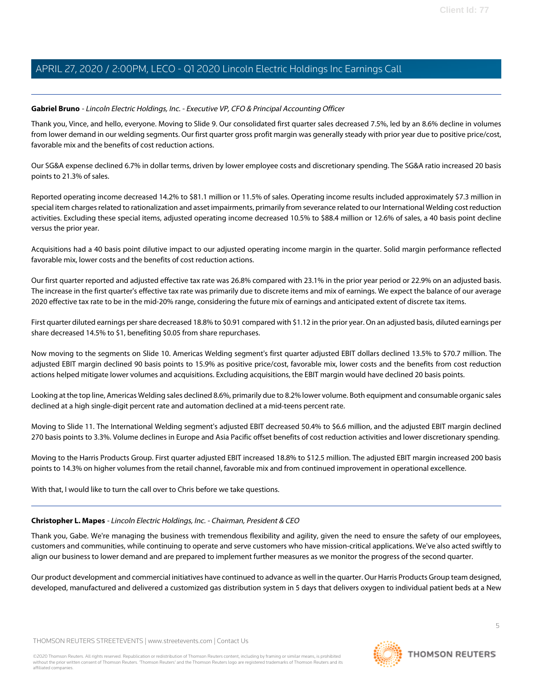#### <span id="page-4-0"></span>**Gabriel Bruno** - Lincoln Electric Holdings, Inc. - Executive VP, CFO & Principal Accounting Officer

Thank you, Vince, and hello, everyone. Moving to Slide 9. Our consolidated first quarter sales decreased 7.5%, led by an 8.6% decline in volumes from lower demand in our welding segments. Our first quarter gross profit margin was generally steady with prior year due to positive price/cost, favorable mix and the benefits of cost reduction actions.

Our SG&A expense declined 6.7% in dollar terms, driven by lower employee costs and discretionary spending. The SG&A ratio increased 20 basis points to 21.3% of sales.

Reported operating income decreased 14.2% to \$81.1 million or 11.5% of sales. Operating income results included approximately \$7.3 million in special item charges related to rationalization and asset impairments, primarily from severance related to our International Welding cost reduction activities. Excluding these special items, adjusted operating income decreased 10.5% to \$88.4 million or 12.6% of sales, a 40 basis point decline versus the prior year.

Acquisitions had a 40 basis point dilutive impact to our adjusted operating income margin in the quarter. Solid margin performance reflected favorable mix, lower costs and the benefits of cost reduction actions.

Our first quarter reported and adjusted effective tax rate was 26.8% compared with 23.1% in the prior year period or 22.9% on an adjusted basis. The increase in the first quarter's effective tax rate was primarily due to discrete items and mix of earnings. We expect the balance of our average 2020 effective tax rate to be in the mid-20% range, considering the future mix of earnings and anticipated extent of discrete tax items.

First quarter diluted earnings per share decreased 18.8% to \$0.91 compared with \$1.12 in the prior year. On an adjusted basis, diluted earnings per share decreased 14.5% to \$1, benefiting \$0.05 from share repurchases.

Now moving to the segments on Slide 10. Americas Welding segment's first quarter adjusted EBIT dollars declined 13.5% to \$70.7 million. The adjusted EBIT margin declined 90 basis points to 15.9% as positive price/cost, favorable mix, lower costs and the benefits from cost reduction actions helped mitigate lower volumes and acquisitions. Excluding acquisitions, the EBIT margin would have declined 20 basis points.

Looking at the top line, Americas Welding sales declined 8.6%, primarily due to 8.2% lower volume. Both equipment and consumable organic sales declined at a high single-digit percent rate and automation declined at a mid-teens percent rate.

Moving to Slide 11. The International Welding segment's adjusted EBIT decreased 50.4% to \$6.6 million, and the adjusted EBIT margin declined 270 basis points to 3.3%. Volume declines in Europe and Asia Pacific offset benefits of cost reduction activities and lower discretionary spending.

Moving to the Harris Products Group. First quarter adjusted EBIT increased 18.8% to \$12.5 million. The adjusted EBIT margin increased 200 basis points to 14.3% on higher volumes from the retail channel, favorable mix and from continued improvement in operational excellence.

With that, I would like to turn the call over to Chris before we take questions.

#### **Christopher L. Mapes** - Lincoln Electric Holdings, Inc. - Chairman, President & CEO

Thank you, Gabe. We're managing the business with tremendous flexibility and agility, given the need to ensure the safety of our employees, customers and communities, while continuing to operate and serve customers who have mission-critical applications. We've also acted swiftly to align our business to lower demand and are prepared to implement further measures as we monitor the progress of the second quarter.

Our product development and commercial initiatives have continued to advance as well in the quarter. Our Harris Products Group team designed, developed, manufactured and delivered a customized gas distribution system in 5 days that delivers oxygen to individual patient beds at a New

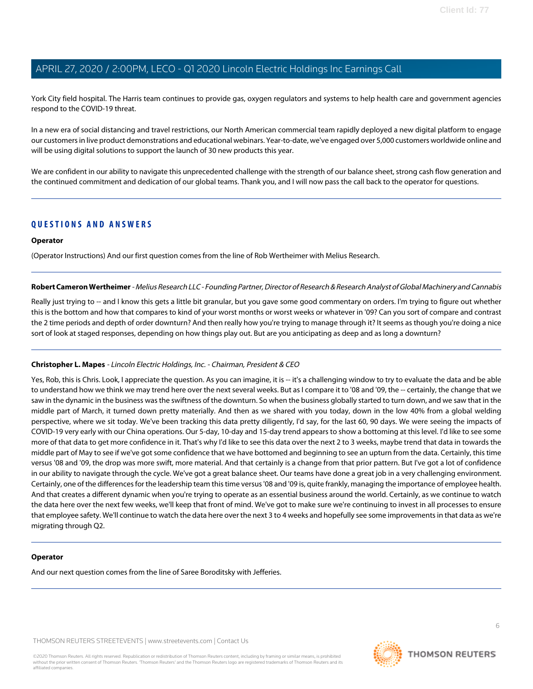York City field hospital. The Harris team continues to provide gas, oxygen regulators and systems to help health care and government agencies respond to the COVID-19 threat.

In a new era of social distancing and travel restrictions, our North American commercial team rapidly deployed a new digital platform to engage our customers in live product demonstrations and educational webinars. Year-to-date, we've engaged over 5,000 customers worldwide online and will be using digital solutions to support the launch of 30 new products this year.

We are confident in our ability to navigate this unprecedented challenge with the strength of our balance sheet, strong cash flow generation and the continued commitment and dedication of our global teams. Thank you, and I will now pass the call back to the operator for questions.

### **QUESTIONS AND ANSWERS**

#### **Operator**

<span id="page-5-0"></span>(Operator Instructions) And our first question comes from the line of Rob Wertheimer with Melius Research.

**Robert Cameron Wertheimer** - Melius Research LLC - Founding Partner, Director of Research & Research Analyst of Global Machinery and Cannabis

Really just trying to -- and I know this gets a little bit granular, but you gave some good commentary on orders. I'm trying to figure out whether this is the bottom and how that compares to kind of your worst months or worst weeks or whatever in '09? Can you sort of compare and contrast the 2 time periods and depth of order downturn? And then really how you're trying to manage through it? It seems as though you're doing a nice sort of look at staged responses, depending on how things play out. But are you anticipating as deep and as long a downturn?

#### **Christopher L. Mapes** - Lincoln Electric Holdings, Inc. - Chairman, President & CEO

Yes, Rob, this is Chris. Look, I appreciate the question. As you can imagine, it is -- it's a challenging window to try to evaluate the data and be able to understand how we think we may trend here over the next several weeks. But as I compare it to '08 and '09, the -- certainly, the change that we saw in the dynamic in the business was the swiftness of the downturn. So when the business globally started to turn down, and we saw that in the middle part of March, it turned down pretty materially. And then as we shared with you today, down in the low 40% from a global welding perspective, where we sit today. We've been tracking this data pretty diligently, I'd say, for the last 60, 90 days. We were seeing the impacts of COVID-19 very early with our China operations. Our 5-day, 10-day and 15-day trend appears to show a bottoming at this level. I'd like to see some more of that data to get more confidence in it. That's why I'd like to see this data over the next 2 to 3 weeks, maybe trend that data in towards the middle part of May to see if we've got some confidence that we have bottomed and beginning to see an upturn from the data. Certainly, this time versus '08 and '09, the drop was more swift, more material. And that certainly is a change from that prior pattern. But I've got a lot of confidence in our ability to navigate through the cycle. We've got a great balance sheet. Our teams have done a great job in a very challenging environment. Certainly, one of the differences for the leadership team this time versus '08 and '09 is, quite frankly, managing the importance of employee health. And that creates a different dynamic when you're trying to operate as an essential business around the world. Certainly, as we continue to watch the data here over the next few weeks, we'll keep that front of mind. We've got to make sure we're continuing to invest in all processes to ensure that employee safety. We'll continue to watch the data here over the next 3 to 4 weeks and hopefully see some improvements in that data as we're migrating through Q2.

#### **Operator**

And our next question comes from the line of Saree Boroditsky with Jefferies.

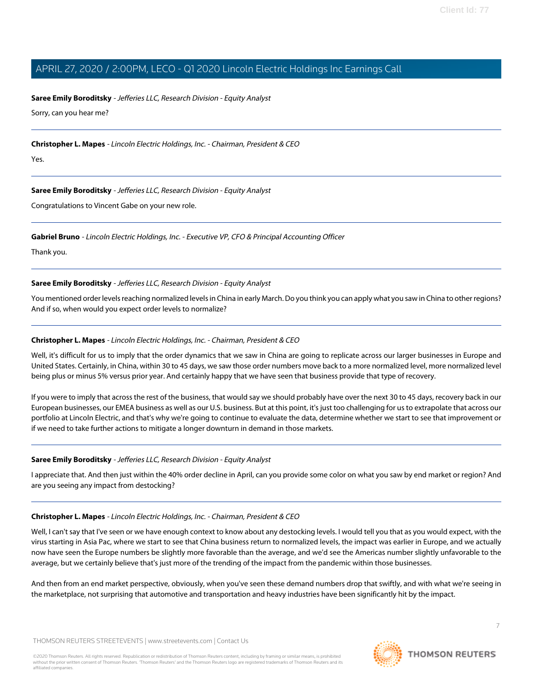#### <span id="page-6-0"></span>**Saree Emily Boroditsky** - Jefferies LLC, Research Division - Equity Analyst

Sorry, can you hear me?

**Christopher L. Mapes** - Lincoln Electric Holdings, Inc. - Chairman, President & CEO

Yes.

#### **Saree Emily Boroditsky** - Jefferies LLC, Research Division - Equity Analyst

Congratulations to Vincent Gabe on your new role.

#### **Gabriel Bruno** - Lincoln Electric Holdings, Inc. - Executive VP, CFO & Principal Accounting Officer

Thank you.

#### **Saree Emily Boroditsky** - Jefferies LLC, Research Division - Equity Analyst

You mentioned order levels reaching normalized levels in China in early March. Do you think you can apply what you saw in China to other regions? And if so, when would you expect order levels to normalize?

#### **Christopher L. Mapes** - Lincoln Electric Holdings, Inc. - Chairman, President & CEO

Well, it's difficult for us to imply that the order dynamics that we saw in China are going to replicate across our larger businesses in Europe and United States. Certainly, in China, within 30 to 45 days, we saw those order numbers move back to a more normalized level, more normalized level being plus or minus 5% versus prior year. And certainly happy that we have seen that business provide that type of recovery.

If you were to imply that across the rest of the business, that would say we should probably have over the next 30 to 45 days, recovery back in our European businesses, our EMEA business as well as our U.S. business. But at this point, it's just too challenging for us to extrapolate that across our portfolio at Lincoln Electric, and that's why we're going to continue to evaluate the data, determine whether we start to see that improvement or if we need to take further actions to mitigate a longer downturn in demand in those markets.

#### **Saree Emily Boroditsky** - Jefferies LLC, Research Division - Equity Analyst

I appreciate that. And then just within the 40% order decline in April, can you provide some color on what you saw by end market or region? And are you seeing any impact from destocking?

#### **Christopher L. Mapes** - Lincoln Electric Holdings, Inc. - Chairman, President & CEO

Well, I can't say that I've seen or we have enough context to know about any destocking levels. I would tell you that as you would expect, with the virus starting in Asia Pac, where we start to see that China business return to normalized levels, the impact was earlier in Europe, and we actually now have seen the Europe numbers be slightly more favorable than the average, and we'd see the Americas number slightly unfavorable to the average, but we certainly believe that's just more of the trending of the impact from the pandemic within those businesses.

And then from an end market perspective, obviously, when you've seen these demand numbers drop that swiftly, and with what we're seeing in the marketplace, not surprising that automotive and transportation and heavy industries have been significantly hit by the impact.

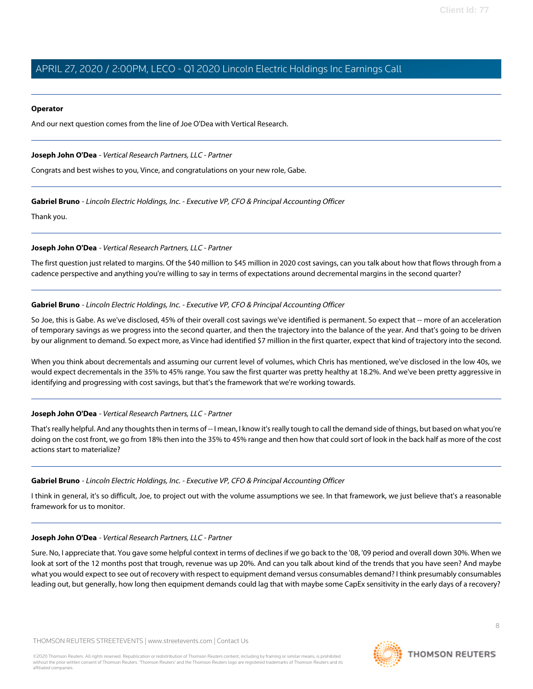#### **Operator**

And our next question comes from the line of Joe O'Dea with Vertical Research.

#### <span id="page-7-0"></span>**Joseph John O'Dea** - Vertical Research Partners, LLC - Partner

Congrats and best wishes to you, Vince, and congratulations on your new role, Gabe.

#### **Gabriel Bruno** - Lincoln Electric Holdings, Inc. - Executive VP, CFO & Principal Accounting Officer

Thank you.

#### **Joseph John O'Dea** - Vertical Research Partners, LLC - Partner

The first question just related to margins. Of the \$40 million to \$45 million in 2020 cost savings, can you talk about how that flows through from a cadence perspective and anything you're willing to say in terms of expectations around decremental margins in the second quarter?

#### **Gabriel Bruno** - Lincoln Electric Holdings, Inc. - Executive VP, CFO & Principal Accounting Officer

So Joe, this is Gabe. As we've disclosed, 45% of their overall cost savings we've identified is permanent. So expect that -- more of an acceleration of temporary savings as we progress into the second quarter, and then the trajectory into the balance of the year. And that's going to be driven by our alignment to demand. So expect more, as Vince had identified \$7 million in the first quarter, expect that kind of trajectory into the second.

When you think about decrementals and assuming our current level of volumes, which Chris has mentioned, we've disclosed in the low 40s, we would expect decrementals in the 35% to 45% range. You saw the first quarter was pretty healthy at 18.2%. And we've been pretty aggressive in identifying and progressing with cost savings, but that's the framework that we're working towards.

#### **Joseph John O'Dea** - Vertical Research Partners, LLC - Partner

That's really helpful. And any thoughts then in terms of -- I mean, I know it's really tough to call the demand side of things, but based on what you're doing on the cost front, we go from 18% then into the 35% to 45% range and then how that could sort of look in the back half as more of the cost actions start to materialize?

#### **Gabriel Bruno** - Lincoln Electric Holdings, Inc. - Executive VP, CFO & Principal Accounting Officer

I think in general, it's so difficult, Joe, to project out with the volume assumptions we see. In that framework, we just believe that's a reasonable framework for us to monitor.

#### **Joseph John O'Dea** - Vertical Research Partners, LLC - Partner

Sure. No, I appreciate that. You gave some helpful context in terms of declines if we go back to the '08, '09 period and overall down 30%. When we look at sort of the 12 months post that trough, revenue was up 20%. And can you talk about kind of the trends that you have seen? And maybe what you would expect to see out of recovery with respect to equipment demand versus consumables demand? I think presumably consumables leading out, but generally, how long then equipment demands could lag that with maybe some CapEx sensitivity in the early days of a recovery?

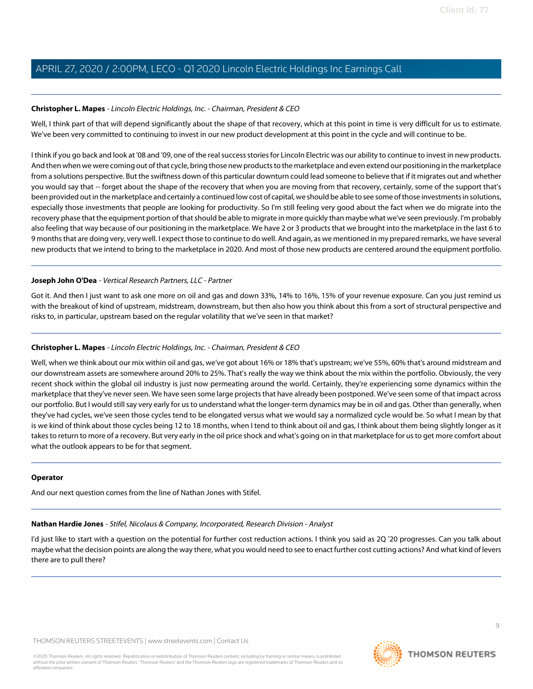#### **Christopher L. Mapes** - Lincoln Electric Holdings, Inc. - Chairman, President & CEO

Well, I think part of that will depend significantly about the shape of that recovery, which at this point in time is very difficult for us to estimate. We've been very committed to continuing to invest in our new product development at this point in the cycle and will continue to be.

I think if you go back and look at '08 and '09, one of the real success stories for Lincoln Electric was our ability to continue to invest in new products. And then when we were coming out of that cycle, bring those new products to the marketplace and even extend our positioning in the marketplace from a solutions perspective. But the swiftness down of this particular downturn could lead someone to believe that if it migrates out and whether you would say that -- forget about the shape of the recovery that when you are moving from that recovery, certainly, some of the support that's been provided out in the marketplace and certainly a continued low cost of capital, we should be able to see some of those investments in solutions, especially those investments that people are looking for productivity. So I'm still feeling very good about the fact when we do migrate into the recovery phase that the equipment portion of that should be able to migrate in more quickly than maybe what we've seen previously. I'm probably also feeling that way because of our positioning in the marketplace. We have 2 or 3 products that we brought into the marketplace in the last 6 to 9 months that are doing very, very well. I expect those to continue to do well. And again, as we mentioned in my prepared remarks, we have several new products that we intend to bring to the marketplace in 2020. And most of those new products are centered around the equipment portfolio.

#### **Joseph John O'Dea** - Vertical Research Partners, LLC - Partner

Got it. And then I just want to ask one more on oil and gas and down 33%, 14% to 16%, 15% of your revenue exposure. Can you just remind us with the breakout of kind of upstream, midstream, downstream, but then also how you think about this from a sort of structural perspective and risks to, in particular, upstream based on the regular volatility that we've seen in that market?

#### **Christopher L. Mapes** - Lincoln Electric Holdings, Inc. - Chairman, President & CEO

Well, when we think about our mix within oil and gas, we've got about 16% or 18% that's upstream; we've 55%, 60% that's around midstream and our downstream assets are somewhere around 20% to 25%. That's really the way we think about the mix within the portfolio. Obviously, the very recent shock within the global oil industry is just now permeating around the world. Certainly, they're experiencing some dynamics within the marketplace that they've never seen. We have seen some large projects that have already been postponed. We've seen some of that impact across our portfolio. But I would still say very early for us to understand what the longer-term dynamics may be in oil and gas. Other than generally, when they've had cycles, we've seen those cycles tend to be elongated versus what we would say a normalized cycle would be. So what I mean by that is we kind of think about those cycles being 12 to 18 months, when I tend to think about oil and gas, I think about them being slightly longer as it takes to return to more of a recovery. But very early in the oil price shock and what's going on in that marketplace for us to get more comfort about what the outlook appears to be for that segment.

#### <span id="page-8-0"></span>**Operator**

And our next question comes from the line of Nathan Jones with Stifel.

### **Nathan Hardie Jones** - Stifel, Nicolaus & Company, Incorporated, Research Division - Analyst

I'd just like to start with a question on the potential for further cost reduction actions. I think you said as 2Q '20 progresses. Can you talk about maybe what the decision points are along the way there, what you would need to see to enact further cost cutting actions? And what kind of levers there are to pull there?

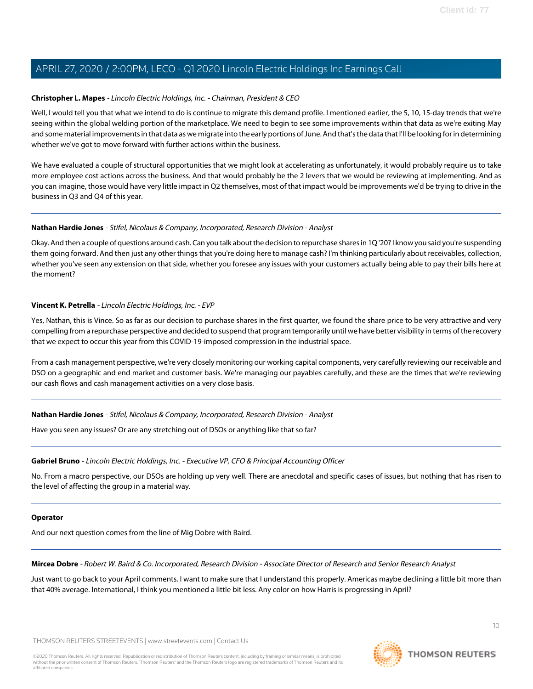#### **Christopher L. Mapes** - Lincoln Electric Holdings, Inc. - Chairman, President & CEO

Well, I would tell you that what we intend to do is continue to migrate this demand profile. I mentioned earlier, the 5, 10, 15-day trends that we're seeing within the global welding portion of the marketplace. We need to begin to see some improvements within that data as we're exiting May and some material improvements in that data as we migrate into the early portions of June. And that's the data that I'll be looking for in determining whether we've got to move forward with further actions within the business.

We have evaluated a couple of structural opportunities that we might look at accelerating as unfortunately, it would probably require us to take more employee cost actions across the business. And that would probably be the 2 levers that we would be reviewing at implementing. And as you can imagine, those would have very little impact in Q2 themselves, most of that impact would be improvements we'd be trying to drive in the business in Q3 and Q4 of this year.

#### **Nathan Hardie Jones** - Stifel, Nicolaus & Company, Incorporated, Research Division - Analyst

Okay. And then a couple of questions around cash. Can you talk about the decision to repurchase shares in 1Q '20? I know you said you're suspending them going forward. And then just any other things that you're doing here to manage cash? I'm thinking particularly about receivables, collection, whether you've seen any extension on that side, whether you foresee any issues with your customers actually being able to pay their bills here at the moment?

#### **Vincent K. Petrella** - Lincoln Electric Holdings, Inc. - EVP

Yes, Nathan, this is Vince. So as far as our decision to purchase shares in the first quarter, we found the share price to be very attractive and very compelling from a repurchase perspective and decided to suspend that program temporarily until we have better visibility in terms of the recovery that we expect to occur this year from this COVID-19-imposed compression in the industrial space.

From a cash management perspective, we're very closely monitoring our working capital components, very carefully reviewing our receivable and DSO on a geographic and end market and customer basis. We're managing our payables carefully, and these are the times that we're reviewing our cash flows and cash management activities on a very close basis.

#### **Nathan Hardie Jones** - Stifel, Nicolaus & Company, Incorporated, Research Division - Analyst

Have you seen any issues? Or are any stretching out of DSOs or anything like that so far?

#### **Gabriel Bruno** - Lincoln Electric Holdings, Inc. - Executive VP, CFO & Principal Accounting Officer

No. From a macro perspective, our DSOs are holding up very well. There are anecdotal and specific cases of issues, but nothing that has risen to the level of affecting the group in a material way.

#### <span id="page-9-0"></span>**Operator**

And our next question comes from the line of Mig Dobre with Baird.

**Mircea Dobre** - Robert W. Baird & Co. Incorporated, Research Division - Associate Director of Research and Senior Research Analyst

Just want to go back to your April comments. I want to make sure that I understand this properly. Americas maybe declining a little bit more than that 40% average. International, I think you mentioned a little bit less. Any color on how Harris is progressing in April?

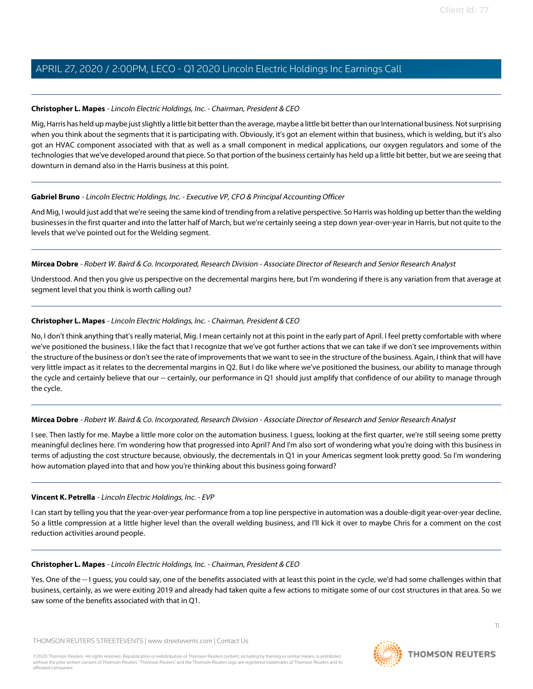#### **Christopher L. Mapes** - Lincoln Electric Holdings, Inc. - Chairman, President & CEO

Mig, Harris has held up maybe just slightly a little bit better than the average, maybe a little bit better than our International business. Not surprising when you think about the segments that it is participating with. Obviously, it's got an element within that business, which is welding, but it's also got an HVAC component associated with that as well as a small component in medical applications, our oxygen regulators and some of the technologies that we've developed around that piece. So that portion of the business certainly has held up a little bit better, but we are seeing that downturn in demand also in the Harris business at this point.

#### **Gabriel Bruno** - Lincoln Electric Holdings, Inc. - Executive VP, CFO & Principal Accounting Officer

And Mig, I would just add that we're seeing the same kind of trending from a relative perspective. So Harris was holding up better than the welding businesses in the first quarter and into the latter half of March, but we're certainly seeing a step down year-over-year in Harris, but not quite to the levels that we've pointed out for the Welding segment.

#### **Mircea Dobre** - Robert W. Baird & Co. Incorporated, Research Division - Associate Director of Research and Senior Research Analyst

Understood. And then you give us perspective on the decremental margins here, but I'm wondering if there is any variation from that average at segment level that you think is worth calling out?

#### **Christopher L. Mapes** - Lincoln Electric Holdings, Inc. - Chairman, President & CEO

No, I don't think anything that's really material, Mig. I mean certainly not at this point in the early part of April. I feel pretty comfortable with where we've positioned the business. I like the fact that I recognize that we've got further actions that we can take if we don't see improvements within the structure of the business or don't see the rate of improvements that we want to see in the structure of the business. Again, I think that will have very little impact as it relates to the decremental margins in Q2. But I do like where we've positioned the business, our ability to manage through the cycle and certainly believe that our -- certainly, our performance in Q1 should just amplify that confidence of our ability to manage through the cycle.

#### **Mircea Dobre** - Robert W. Baird & Co. Incorporated, Research Division - Associate Director of Research and Senior Research Analyst

I see. Then lastly for me. Maybe a little more color on the automation business. I guess, looking at the first quarter, we're still seeing some pretty meaningful declines here. I'm wondering how that progressed into April? And I'm also sort of wondering what you're doing with this business in terms of adjusting the cost structure because, obviously, the decrementals in Q1 in your Americas segment look pretty good. So I'm wondering how automation played into that and how you're thinking about this business going forward?

#### **Vincent K. Petrella** - Lincoln Electric Holdings, Inc. - EVP

I can start by telling you that the year-over-year performance from a top line perspective in automation was a double-digit year-over-year decline. So a little compression at a little higher level than the overall welding business, and I'll kick it over to maybe Chris for a comment on the cost reduction activities around people.

#### **Christopher L. Mapes** - Lincoln Electric Holdings, Inc. - Chairman, President & CEO

Yes. One of the -- I guess, you could say, one of the benefits associated with at least this point in the cycle, we'd had some challenges within that business, certainly, as we were exiting 2019 and already had taken quite a few actions to mitigate some of our cost structures in that area. So we saw some of the benefits associated with that in Q1.

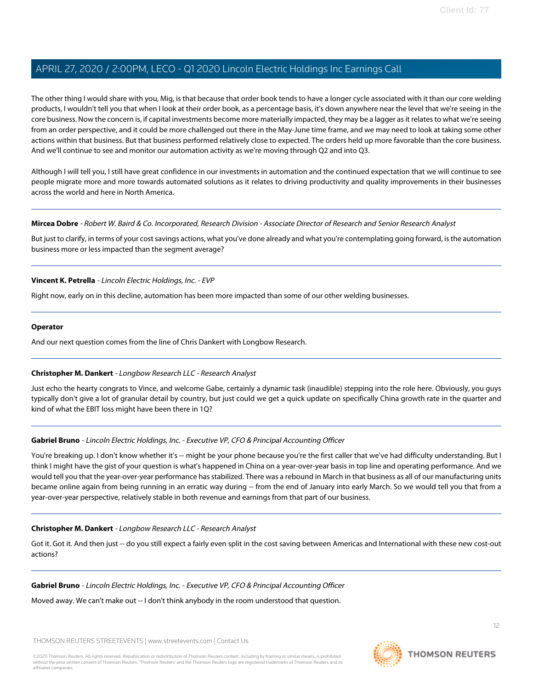The other thing I would share with you, Mig, is that because that order book tends to have a longer cycle associated with it than our core welding products, I wouldn't tell you that when I look at their order book, as a percentage basis, it's down anywhere near the level that we're seeing in the core business. Now the concern is, if capital investments become more materially impacted, they may be a lagger as it relates to what we're seeing from an order perspective, and it could be more challenged out there in the May-June time frame, and we may need to look at taking some other actions within that business. But that business performed relatively close to expected. The orders held up more favorable than the core business. And we'll continue to see and monitor our automation activity as we're moving through Q2 and into Q3.

Although I will tell you, I still have great confidence in our investments in automation and the continued expectation that we will continue to see people migrate more and more towards automated solutions as it relates to driving productivity and quality improvements in their businesses across the world and here in North America.

#### **Mircea Dobre** - Robert W. Baird & Co. Incorporated, Research Division - Associate Director of Research and Senior Research Analyst

But just to clarify, in terms of your cost savings actions, what you've done already and what you're contemplating going forward, is the automation business more or less impacted than the segment average?

#### **Vincent K. Petrella** - Lincoln Electric Holdings, Inc. - EVP

Right now, early on in this decline, automation has been more impacted than some of our other welding businesses.

#### **Operator**

<span id="page-11-0"></span>And our next question comes from the line of Chris Dankert with Longbow Research.

#### **Christopher M. Dankert** - Longbow Research LLC - Research Analyst

Just echo the hearty congrats to Vince, and welcome Gabe, certainly a dynamic task (inaudible) stepping into the role here. Obviously, you guys typically don't give a lot of granular detail by country, but just could we get a quick update on specifically China growth rate in the quarter and kind of what the EBIT loss might have been there in 1Q?

#### **Gabriel Bruno** - Lincoln Electric Holdings, Inc. - Executive VP, CFO & Principal Accounting Officer

You're breaking up. I don't know whether it's -- might be your phone because you're the first caller that we've had difficulty understanding. But I think I might have the gist of your question is what's happened in China on a year-over-year basis in top line and operating performance. And we would tell you that the year-over-year performance has stabilized. There was a rebound in March in that business as all of our manufacturing units became online again from being running in an erratic way during -- from the end of January into early March. So we would tell you that from a year-over-year perspective, relatively stable in both revenue and earnings from that part of our business.

#### **Christopher M. Dankert** - Longbow Research LLC - Research Analyst

Got it. Got it. And then just -- do you still expect a fairly even split in the cost saving between Americas and International with these new cost-out actions?

#### **Gabriel Bruno** - Lincoln Electric Holdings, Inc. - Executive VP, CFO & Principal Accounting Officer

Moved away. We can't make out -- I don't think anybody in the room understood that question.

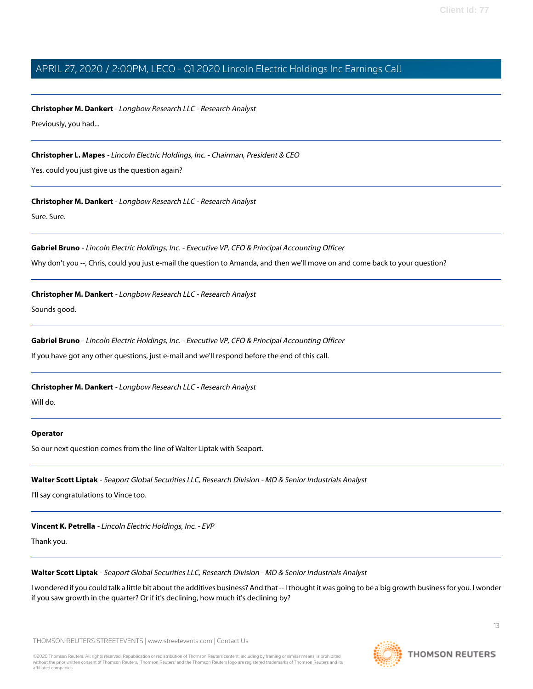**Christopher M. Dankert** - Longbow Research LLC - Research Analyst Previously, you had...

**Christopher L. Mapes** - Lincoln Electric Holdings, Inc. - Chairman, President & CEO

Yes, could you just give us the question again?

**Christopher M. Dankert** - Longbow Research LLC - Research Analyst

Sure. Sure.

**Gabriel Bruno** - Lincoln Electric Holdings, Inc. - Executive VP, CFO & Principal Accounting Officer

Why don't you --, Chris, could you just e-mail the question to Amanda, and then we'll move on and come back to your question?

**Christopher M. Dankert** - Longbow Research LLC - Research Analyst

Sounds good.

**Gabriel Bruno** - Lincoln Electric Holdings, Inc. - Executive VP, CFO & Principal Accounting Officer

If you have got any other questions, just e-mail and we'll respond before the end of this call.

**Christopher M. Dankert** - Longbow Research LLC - Research Analyst

Will do.

#### <span id="page-12-0"></span>**Operator**

So our next question comes from the line of Walter Liptak with Seaport.

**Walter Scott Liptak** - Seaport Global Securities LLC, Research Division - MD & Senior Industrials Analyst

I'll say congratulations to Vince too.

**Vincent K. Petrella** - Lincoln Electric Holdings, Inc. - EVP

Thank you.

**Walter Scott Liptak** - Seaport Global Securities LLC, Research Division - MD & Senior Industrials Analyst

I wondered if you could talk a little bit about the additives business? And that -- I thought it was going to be a big growth business for you. I wonder if you saw growth in the quarter? Or if it's declining, how much it's declining by?

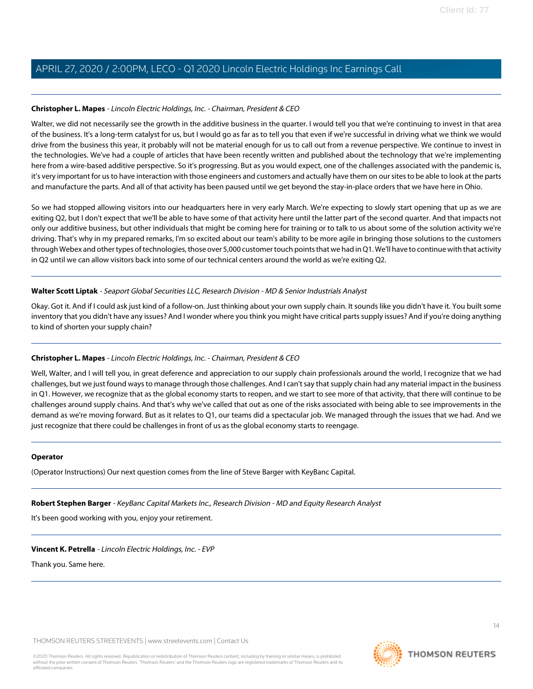#### **Christopher L. Mapes** - Lincoln Electric Holdings, Inc. - Chairman, President & CEO

Walter, we did not necessarily see the growth in the additive business in the quarter. I would tell you that we're continuing to invest in that area of the business. It's a long-term catalyst for us, but I would go as far as to tell you that even if we're successful in driving what we think we would drive from the business this year, it probably will not be material enough for us to call out from a revenue perspective. We continue to invest in the technologies. We've had a couple of articles that have been recently written and published about the technology that we're implementing here from a wire-based additive perspective. So it's progressing. But as you would expect, one of the challenges associated with the pandemic is, it's very important for us to have interaction with those engineers and customers and actually have them on our sites to be able to look at the parts and manufacture the parts. And all of that activity has been paused until we get beyond the stay-in-place orders that we have here in Ohio.

So we had stopped allowing visitors into our headquarters here in very early March. We're expecting to slowly start opening that up as we are exiting Q2, but I don't expect that we'll be able to have some of that activity here until the latter part of the second quarter. And that impacts not only our additive business, but other individuals that might be coming here for training or to talk to us about some of the solution activity we're driving. That's why in my prepared remarks, I'm so excited about our team's ability to be more agile in bringing those solutions to the customers through Webex and other types of technologies, those over 5,000 customer touch points that we had in Q1. We'll have to continue with that activity in Q2 until we can allow visitors back into some of our technical centers around the world as we're exiting Q2.

#### **Walter Scott Liptak** - Seaport Global Securities LLC, Research Division - MD & Senior Industrials Analyst

Okay. Got it. And if I could ask just kind of a follow-on. Just thinking about your own supply chain. It sounds like you didn't have it. You built some inventory that you didn't have any issues? And I wonder where you think you might have critical parts supply issues? And if you're doing anything to kind of shorten your supply chain?

#### **Christopher L. Mapes** - Lincoln Electric Holdings, Inc. - Chairman, President & CEO

Well, Walter, and I will tell you, in great deference and appreciation to our supply chain professionals around the world, I recognize that we had challenges, but we just found ways to manage through those challenges. And I can't say that supply chain had any material impact in the business in Q1. However, we recognize that as the global economy starts to reopen, and we start to see more of that activity, that there will continue to be challenges around supply chains. And that's why we've called that out as one of the risks associated with being able to see improvements in the demand as we're moving forward. But as it relates to Q1, our teams did a spectacular job. We managed through the issues that we had. And we just recognize that there could be challenges in front of us as the global economy starts to reengage.

#### <span id="page-13-0"></span>**Operator**

(Operator Instructions) Our next question comes from the line of Steve Barger with KeyBanc Capital.

#### **Robert Stephen Barger** - KeyBanc Capital Markets Inc., Research Division - MD and Equity Research Analyst

It's been good working with you, enjoy your retirement.

#### **Vincent K. Petrella** - Lincoln Electric Holdings, Inc. - EVP

Thank you. Same here.

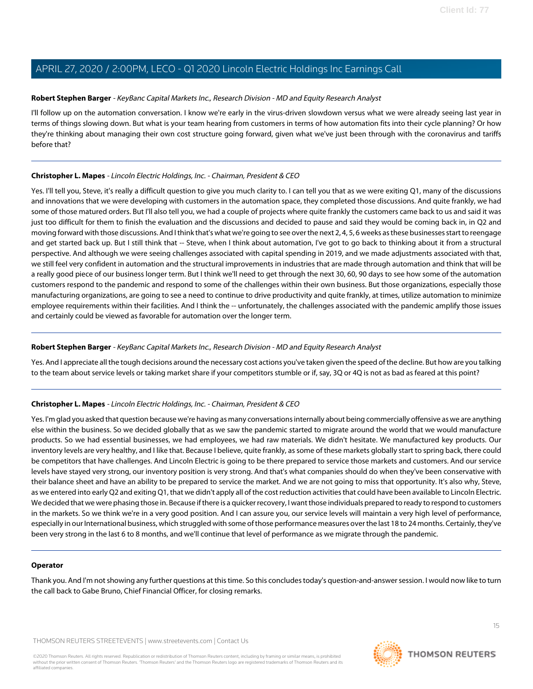#### **Robert Stephen Barger** - KeyBanc Capital Markets Inc., Research Division - MD and Equity Research Analyst

I'll follow up on the automation conversation. I know we're early in the virus-driven slowdown versus what we were already seeing last year in terms of things slowing down. But what is your team hearing from customers in terms of how automation fits into their cycle planning? Or how they're thinking about managing their own cost structure going forward, given what we've just been through with the coronavirus and tariffs before that?

#### **Christopher L. Mapes** - Lincoln Electric Holdings, Inc. - Chairman, President & CEO

Yes. I'll tell you, Steve, it's really a difficult question to give you much clarity to. I can tell you that as we were exiting Q1, many of the discussions and innovations that we were developing with customers in the automation space, they completed those discussions. And quite frankly, we had some of those matured orders. But I'll also tell you, we had a couple of projects where quite frankly the customers came back to us and said it was just too difficult for them to finish the evaluation and the discussions and decided to pause and said they would be coming back in, in Q2 and moving forward with those discussions. And I think that's what we're going to see over the next 2, 4, 5, 6 weeks as these businesses start to reengage and get started back up. But I still think that -- Steve, when I think about automation, I've got to go back to thinking about it from a structural perspective. And although we were seeing challenges associated with capital spending in 2019, and we made adjustments associated with that, we still feel very confident in automation and the structural improvements in industries that are made through automation and think that will be a really good piece of our business longer term. But I think we'll need to get through the next 30, 60, 90 days to see how some of the automation customers respond to the pandemic and respond to some of the challenges within their own business. But those organizations, especially those manufacturing organizations, are going to see a need to continue to drive productivity and quite frankly, at times, utilize automation to minimize employee requirements within their facilities. And I think the -- unfortunately, the challenges associated with the pandemic amplify those issues and certainly could be viewed as favorable for automation over the longer term.

#### **Robert Stephen Barger** - KeyBanc Capital Markets Inc., Research Division - MD and Equity Research Analyst

Yes. And I appreciate all the tough decisions around the necessary cost actions you've taken given the speed of the decline. But how are you talking to the team about service levels or taking market share if your competitors stumble or if, say, 3Q or 4Q is not as bad as feared at this point?

#### **Christopher L. Mapes** - Lincoln Electric Holdings, Inc. - Chairman, President & CEO

Yes. I'm glad you asked that question because we're having as many conversations internally about being commercially offensive as we are anything else within the business. So we decided globally that as we saw the pandemic started to migrate around the world that we would manufacture products. So we had essential businesses, we had employees, we had raw materials. We didn't hesitate. We manufactured key products. Our inventory levels are very healthy, and I like that. Because I believe, quite frankly, as some of these markets globally start to spring back, there could be competitors that have challenges. And Lincoln Electric is going to be there prepared to service those markets and customers. And our service levels have stayed very strong, our inventory position is very strong. And that's what companies should do when they've been conservative with their balance sheet and have an ability to be prepared to service the market. And we are not going to miss that opportunity. It's also why, Steve, as we entered into early Q2 and exiting Q1, that we didn't apply all of the cost reduction activities that could have been available to Lincoln Electric. We decided that we were phasing those in. Because if there is a quicker recovery, I want those individuals prepared to ready to respond to customers in the markets. So we think we're in a very good position. And I can assure you, our service levels will maintain a very high level of performance, especially in our International business, which struggled with some of those performance measures over the last 18 to 24 months. Certainly, they've been very strong in the last 6 to 8 months, and we'll continue that level of performance as we migrate through the pandemic.

#### **Operator**

Thank you. And I'm not showing any further questions at this time. So this concludes today's question-and-answer session. I would now like to turn the call back to Gabe Bruno, Chief Financial Officer, for closing remarks.